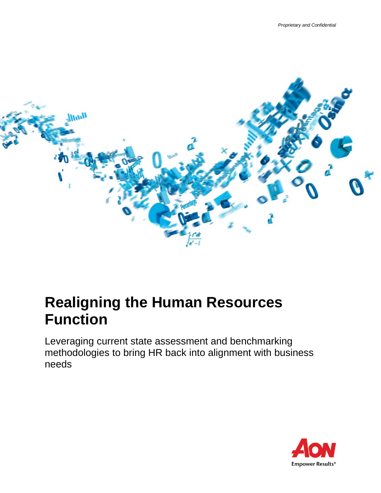

# **Realigning the Human Resources Function**

Leveraging current state assessment and benchmarking methodologies to bring HR back into alignment with business needs

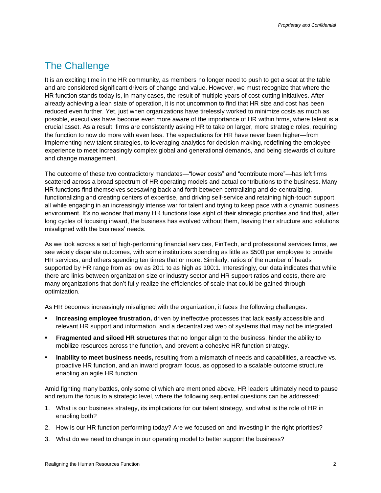### The Challenge

It is an exciting time in the HR community, as members no longer need to push to get a seat at the table and are considered significant drivers of change and value. However, we must recognize that where the HR function stands today is, in many cases, the result of multiple years of cost-cutting initiatives. After already achieving a lean state of operation, it is not uncommon to find that HR size and cost has been reduced even further. Yet, just when organizations have tirelessly worked to minimize costs as much as possible, executives have become even more aware of the importance of HR within firms, where talent is a crucial asset. As a result, firms are consistently asking HR to take on larger, more strategic roles, requiring the function to now do more with even less. The expectations for HR have never been higher—from implementing new talent strategies, to leveraging analytics for decision making, redefining the employee experience to meet increasingly complex global and generational demands, and being stewards of culture and change management.

The outcome of these two contradictory mandates—"lower costs" and "contribute more"—has left firms scattered across a broad spectrum of HR operating models and actual contributions to the business. Many HR functions find themselves seesawing back and forth between centralizing and de-centralizing, functionalizing and creating centers of expertise, and driving self-service and retaining high-touch support, all while engaging in an increasingly intense war for talent and trying to keep pace with a dynamic business environment. It's no wonder that many HR functions lose sight of their strategic priorities and find that, after long cycles of focusing inward, the business has evolved without them, leaving their structure and solutions misaligned with the business' needs.

As we look across a set of high-performing financial services, FinTech, and professional services firms, we see widely disparate outcomes, with some institutions spending as little as \$500 per employee to provide HR services, and others spending ten times that or more. Similarly, ratios of the number of heads supported by HR range from as low as 20:1 to as high as 100:1. Interestingly, our data indicates that while there are links between organization size or industry sector and HR support ratios and costs, there are many organizations that don't fully realize the efficiencies of scale that could be gained through optimization.

As HR becomes increasingly misaligned with the organization, it faces the following challenges:

- **Increasing employee frustration,** driven by ineffective processes that lack easily accessible and relevant HR support and information, and a decentralized web of systems that may not be integrated.
- **Fragmented and siloed HR structures** that no longer align to the business, hinder the ability to mobilize resources across the function, and prevent a cohesive HR function strategy.
- **Inability to meet business needs,** resulting from a mismatch of needs and capabilities, a reactive vs. proactive HR function, and an inward program focus, as opposed to a scalable outcome structure enabling an agile HR function.

Amid fighting many battles, only some of which are mentioned above, HR leaders ultimately need to pause and return the focus to a strategic level, where the following sequential questions can be addressed:

- 1. What is our business strategy, its implications for our talent strategy, and what is the role of HR in enabling both?
- 2. How is our HR function performing today? Are we focused on and investing in the right priorities?
- 3. What do we need to change in our operating model to better support the business?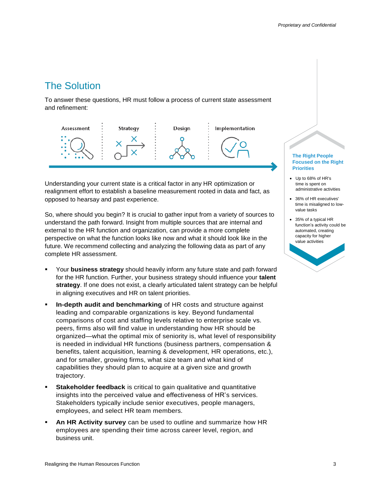## The Solution

To answer these questions, HR must follow a process of current state assessment and refinement:



Understanding your current state is a critical factor in any HR optimization or realignment effort to establish a baseline measurement rooted in data and fact, as opposed to hearsay and past experience.

So, where should you begin? It is crucial to gather input from a variety of sources to understand the path forward. Insight from multiple sources that are internal and external to the HR function and organization, can provide a more complete perspective on what the function looks like now and what it should look like in the future. We recommend collecting and analyzing the following data as part of any complete HR assessment.

- Your **business strategy** should heavily inform any future state and path forward for the HR function. Further, your business strategy should influence your **talent strategy**. If one does not exist, a clearly articulated talent strategy can be helpful in aligning executives and HR on talent priorities.
- **In-depth audit and benchmarking** of HR costs and structure against leading and comparable organizations is key. Beyond fundamental comparisons of cost and staffing levels relative to enterprise scale vs. peers, firms also will find value in understanding how HR should be organized—what the optimal mix of seniority is, what level of responsibility is needed in individual HR functions (business partners, compensation & benefits, talent acquisition, learning & development, HR operations, etc.), and for smaller, growing firms, what size team and what kind of capabilities they should plan to acquire at a given size and growth trajectory.
- **Stakeholder feedback** is critical to gain qualitative and quantitative insights into the perceived value and effectiveness of HR's services. Stakeholders typically include senior executives, people managers, employees, and select HR team members.
- An HR Activity survey can be used to outline and summarize how HR employees are spending their time across career level, region, and business unit.

#### **The Right People Focused on the Right Priorities**

- Up to 68% of HR's time is spent on administrative activities
- 36% of HR executives' time is misaligned to lowvalue tasks
- 35% of a typical HR function's activity could be automated, creating capacity for higher value activities

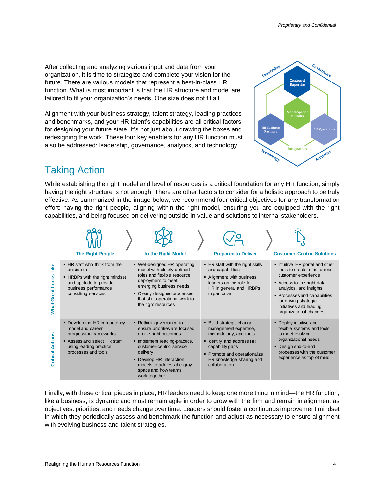After collecting and analyzing various input and data from your organization, it is time to strategize and complete your vision for the future. There are various models that represent a best-in-class HR function. What is most important is that the HR structure and model are tailored to fit your organization's needs. One size does not fit all.

Alignment with your business strategy, talent strategy, leading practices and benchmarks, and your HR talent's capabilities are all critical factors for designing your future state. It's not just about drawing the boxes and redesigning the work. These four key enablers for any HR function must also be addressed: leadership, governance, analytics, and technology.



## Taking Action

While establishing the right model and level of resources is a critical foundation for any HR function, simply having the right structure is not enough. There are other factors to consider for a holistic approach to be truly effective. As summarized in the image below, we recommend four critical objectives for any transformation effort: having the right people, aligning within the right model, ensuring you are equipped with the right capabilities, and being focused on delivering outside-in value and solutions to internal stakeholders.

|                                 | <b>The Right People</b>                                                                                                                                  | In the Right Model                                                                                                                                                                                                                                           | <b>Prepared to Deliver</b>                                                                                                                                                                               | <b>Customer-Centric Solutions</b>                                                                                                                                                                                                                              |
|---------------------------------|----------------------------------------------------------------------------------------------------------------------------------------------------------|--------------------------------------------------------------------------------------------------------------------------------------------------------------------------------------------------------------------------------------------------------------|----------------------------------------------------------------------------------------------------------------------------------------------------------------------------------------------------------|----------------------------------------------------------------------------------------------------------------------------------------------------------------------------------------------------------------------------------------------------------------|
| Like<br><b>What Great Looks</b> | • HR staff who think from the<br>outside in<br>• HRBPs with the right mindset<br>and aptitude to provide<br>business performance<br>consulting services  | • Well-designed HR operating<br>model with clearly defined<br>roles and flexible resource<br>deployment to meet<br>emerging business needs<br>• Clearly designed processes<br>that shift operational work to<br>the right resources                          | • HR staff with the right skills<br>and capabilities<br>• Alignment with business<br>leaders on the role for<br>HR in general and HRBPs<br>in particular                                                 | • Intuitive HR portal and other<br>tools to create a frictionless<br>customer experience<br>Access to the right data,<br>analytics, and insights<br>• Processes and capabilities<br>for driving strategic<br>initiatives and leading<br>organizational changes |
| <b>Critical Actions</b>         | • Develop the HR competency<br>model and career<br>progression frameworks<br>Assess and select HR staff<br>using leading practice<br>processes and tools | • Rethink governance to<br>ensure priorities are focused<br>on the right outcomes<br>• Implement leading-practice,<br>customer-centric service<br>delivery<br>• Develop HR interaction<br>models to address the gray<br>space and how teams<br>work together | • Build strategic change<br>management expertise,<br>methodology, and tools<br>• Identify and address HR<br>capability gaps<br>• Promote and operationalize<br>HR knowledge sharing and<br>collaboration | • Deploy intuitive and<br>flexible systems and tools<br>to meet evolving<br>organizational needs<br>• Design end-to-end<br>processes with the customer<br>experience as top of mind                                                                            |

Finally, with these critical pieces in place, HR leaders need to keep one more thing in mind—the HR function, like a business, is dynamic and must remain agile in order to grow with the firm and remain in alignment as objectives, priorities, and needs change over time. Leaders should foster a continuous improvement mindset in which they periodically assess and benchmark the function and adjust as necessary to ensure alignment with evolving business and talent strategies.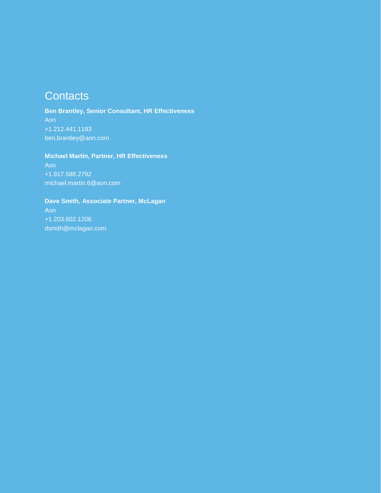# **Contacts**

**Ben Brantley, Senior Consultant, HR Effectiveness** Aon +1.212.441.1193 ben.brantley@aon.com

#### **Michael Martin, Partner, HR Effectiveness**

Aon +1.917.588.2792 michael.martin.6@aon.com

#### **Dave Smith, Associate Partner, McLagan**

Aon +1.203.602.1206 dsmith@mclagan.com